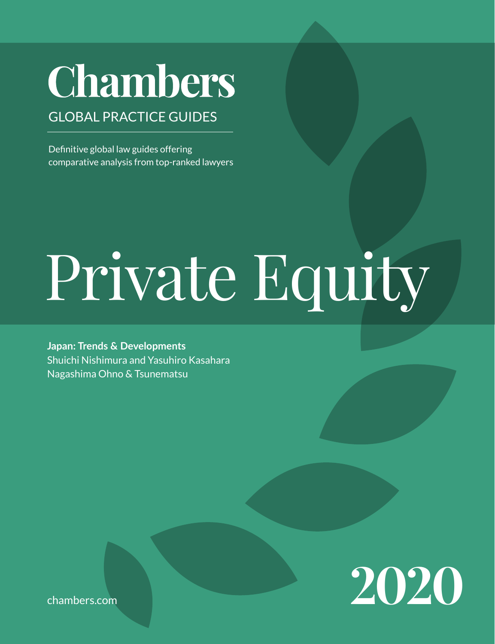# **Chambers**

# GLOBAL PRACTICE GUIDES

Definitive global law guides offering comparative analysis from top-ranked lawyers

# Private Equity

**Japan: Trends & Developments** Shuichi Nishimura and Yasuhiro Kasahara Nagashima Ohno & Tsunematsu



[chambers.com](http://chambers.com)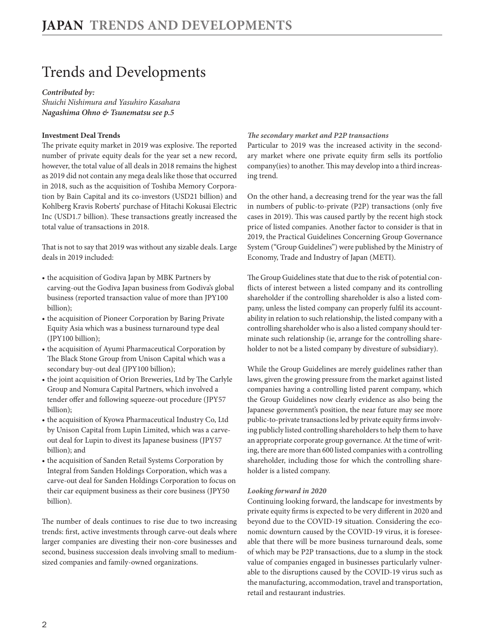# Trends and Developments

#### *Contributed by:*

*Shuichi Nishimura and Yasuhiro Kasahara Nagashima Ohno & Tsunemats[u see p.5](#page-4-0)*

#### **Investment Deal Trends**

The private equity market in 2019 was explosive. The reported number of private equity deals for the year set a new record, however, the total value of all deals in 2018 remains the highest as 2019 did not contain any mega deals like those that occurred in 2018, such as the acquisition of Toshiba Memory Corporation by Bain Capital and its co-investors (USD21 billion) and Kohlberg Kravis Roberts' purchase of Hitachi Kokusai Electric Inc (USD1.7 billion). These transactions greatly increased the total value of transactions in 2018.

That is not to say that 2019 was without any sizable deals. Large deals in 2019 included:

- the acquisition of Godiva Japan by MBK Partners by carving-out the Godiva Japan business from Godiva's global business (reported transaction value of more than JPY100 billion);
- the acquisition of Pioneer Corporation by Baring Private Equity Asia which was a business turnaround type deal (JPY100 billion);
- the acquisition of Ayumi Pharmaceutical Corporation by The Black Stone Group from Unison Capital which was a secondary buy-out deal (JPY100 billion);
- the joint acquisition of Orion Breweries, Ltd by The Carlyle Group and Nomura Capital Partners, which involved a tender offer and following squeeze-out procedure (JPY57 billion);
- the acquisition of Kyowa Pharmaceutical Industry Co, Ltd by Unison Capital from Lupin Limited, which was a carveout deal for Lupin to divest its Japanese business (JPY57 billion); and
- the acquisition of Sanden Retail Systems Corporation by Integral from Sanden Holdings Corporation, which was a carve-out deal for Sanden Holdings Corporation to focus on their car equipment business as their core business (JPY50 billion).

The number of deals continues to rise due to two increasing trends: first, active investments through carve-out deals where larger companies are divesting their non-core businesses and second, business succession deals involving small to mediumsized companies and family-owned organizations.

#### *The secondary market and P2P transactions*

Particular to 2019 was the increased activity in the secondary market where one private equity firm sells its portfolio company(ies) to another. This may develop into a third increasing trend.

On the other hand, a decreasing trend for the year was the fall in numbers of public-to-private (P2P) transactions (only five cases in 2019). This was caused partly by the recent high stock price of listed companies. Another factor to consider is that in 2019, the Practical Guidelines Concerning Group Governance System ("Group Guidelines") were published by the Ministry of Economy, Trade and Industry of Japan (METI).

The Group Guidelines state that due to the risk of potential conflicts of interest between a listed company and its controlling shareholder if the controlling shareholder is also a listed company, unless the listed company can properly fulfil its accountability in relation to such relationship, the listed company with a controlling shareholder who is also a listed company should terminate such relationship (ie, arrange for the controlling shareholder to not be a listed company by divesture of subsidiary).

While the Group Guidelines are merely guidelines rather than laws, given the growing pressure from the market against listed companies having a controlling listed parent company, which the Group Guidelines now clearly evidence as also being the Japanese government's position, the near future may see more public-to-private transactions led by private equity firms involving publicly listed controlling shareholders to help them to have an appropriate corporate group governance. At the time of writing, there are more than 600 listed companies with a controlling shareholder, including those for which the controlling shareholder is a listed company.

#### *Looking forward in 2020*

Continuing looking forward, the landscape for investments by private equity firms is expected to be very different in 2020 and beyond due to the COVID-19 situation. Considering the economic downturn caused by the COVID-19 virus, it is foreseeable that there will be more business turnaround deals, some of which may be P2P transactions, due to a slump in the stock value of companies engaged in businesses particularly vulnerable to the disruptions caused by the COVID-19 virus such as the manufacturing, accommodation, travel and transportation, retail and restaurant industries.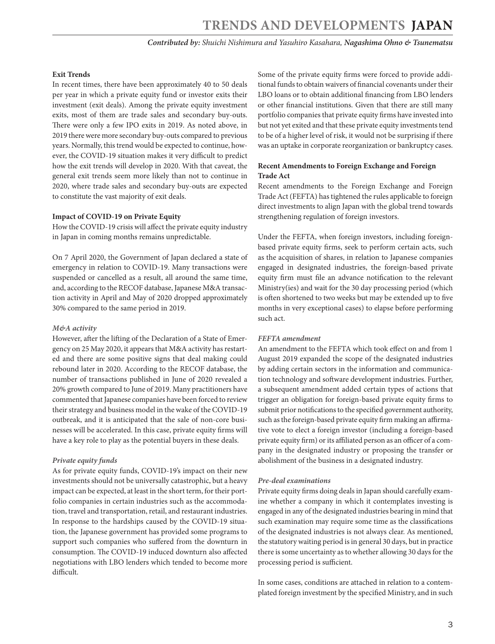*Contributed by: Shuichi Nishimura and Yasuhiro Kasahara, Nagashima Ohno & Tsunematsu*

#### **Exit Trends**

In recent times, there have been approximately 40 to 50 deals per year in which a private equity fund or investor exits their investment (exit deals). Among the private equity investment exits, most of them are trade sales and secondary buy-outs. There were only a few IPO exits in 2019. As noted above, in 2019 there were more secondary buy-outs compared to previous years. Normally, this trend would be expected to continue, however, the COVID-19 situation makes it very difficult to predict how the exit trends will develop in 2020. With that caveat, the general exit trends seem more likely than not to continue in 2020, where trade sales and secondary buy-outs are expected to constitute the vast majority of exit deals.

#### **Impact of COVID-19 on Private Equity**

How the COVID-19 crisis will affect the private equity industry in Japan in coming months remains unpredictable.

On 7 April 2020, the Government of Japan declared a state of emergency in relation to COVID-19. Many transactions were suspended or cancelled as a result, all around the same time, and, according to the RECOF database, Japanese M&A transaction activity in April and May of 2020 dropped approximately 30% compared to the same period in 2019.

#### *M&A activity*

However, after the lifting of the Declaration of a State of Emergency on 25 May 2020, it appears that M&A activity has restarted and there are some positive signs that deal making could rebound later in 2020. According to the RECOF database, the number of transactions published in June of 2020 revealed a 20% growth compared to June of 2019. Many practitioners have commented that Japanese companies have been forced to review their strategy and business model in the wake of the COVID-19 outbreak, and it is anticipated that the sale of non-core businesses will be accelerated. In this case, private equity firms will have a key role to play as the potential buyers in these deals.

#### *Private equity funds*

As for private equity funds, COVID-19's impact on their new investments should not be universally catastrophic, but a heavy impact can be expected, at least in the short term, for their portfolio companies in certain industries such as the accommodation, travel and transportation, retail, and restaurant industries. In response to the hardships caused by the COVID-19 situation, the Japanese government has provided some programs to support such companies who suffered from the downturn in consumption. The COVID-19 induced downturn also affected negotiations with LBO lenders which tended to become more difficult.

Some of the private equity firms were forced to provide additional funds to obtain waivers of financial covenants under their LBO loans or to obtain additional financing from LBO lenders or other financial institutions. Given that there are still many portfolio companies that private equity firms have invested into but not yet exited and that these private equity investments tend to be of a higher level of risk, it would not be surprising if there was an uptake in corporate reorganization or bankruptcy cases.

#### **Recent Amendments to Foreign Exchange and Foreign Trade Act**

Recent amendments to the Foreign Exchange and Foreign Trade Act (FEFTA) has tightened the rules applicable to foreign direct investments to align Japan with the global trend towards strengthening regulation of foreign investors.

Under the FEFTA, when foreign investors, including foreignbased private equity firms, seek to perform certain acts, such as the acquisition of shares, in relation to Japanese companies engaged in designated industries, the foreign-based private equity firm must file an advance notification to the relevant Ministry(ies) and wait for the 30 day processing period (which is often shortened to two weeks but may be extended up to five months in very exceptional cases) to elapse before performing such act.

#### *FEFTA amendment*

An amendment to the FEFTA which took effect on and from 1 August 2019 expanded the scope of the designated industries by adding certain sectors in the information and communication technology and software development industries. Further, a subsequent amendment added certain types of actions that trigger an obligation for foreign-based private equity firms to submit prior notifications to the specified government authority, such as the foreign-based private equity firm making an affirmative vote to elect a foreign investor (including a foreign-based private equity firm) or its affiliated person as an officer of a company in the designated industry or proposing the transfer or abolishment of the business in a designated industry.

#### *Pre-deal examinations*

Private equity firms doing deals in Japan should carefully examine whether a company in which it contemplates investing is engaged in any of the designated industries bearing in mind that such examination may require some time as the classifications of the designated industries is not always clear. As mentioned, the statutory waiting period is in general 30 days, but in practice there is some uncertainty as to whether allowing 30 days for the processing period is sufficient.

In some cases, conditions are attached in relation to a contemplated foreign investment by the specified Ministry, and in such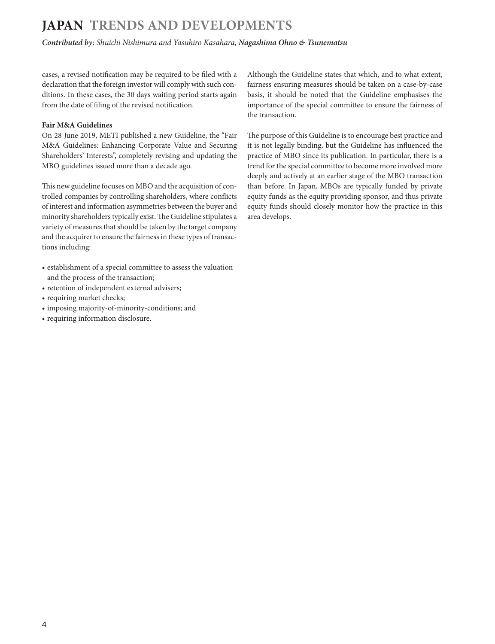## **JAPAN Trends and Developments**

*Contributed by: Shuichi Nishimura and Yasuhiro Kasahara, Nagashima Ohno & Tsunematsu*

cases, a revised notification may be required to be filed with a declaration that the foreign investor will comply with such conditions. In these cases, the 30 days waiting period starts again from the date of filing of the revised notification.

#### **Fair M&A Guidelines**

On 28 June 2019, METI published a new Guideline, the "Fair M&A Guidelines: Enhancing Corporate Value and Securing Shareholders' Interests", completely revising and updating the MBO guidelines issued more than a decade ago.

This new guideline focuses on MBO and the acquisition of controlled companies by controlling shareholders, where conflicts of interest and information asymmetries between the buyer and minority shareholders typically exist. The Guideline stipulates a variety of measures that should be taken by the target company and the acquirer to ensure the fairness in these types of transactions including:

- establishment of a special committee to assess the valuation and the process of the transaction;
- retention of independent external advisers;
- requiring market checks;
- imposing majority-of-minority-conditions; and
- requiring information disclosure.

Although the Guideline states that which, and to what extent, fairness ensuring measures should be taken on a case-by-case basis, it should be noted that the Guideline emphasises the importance of the special committee to ensure the fairness of the transaction.

The purpose of this Guideline is to encourage best practice and it is not legally binding, but the Guideline has influenced the practice of MBO since its publication. In particular, there is a trend for the special committee to become more involved more deeply and actively at an earlier stage of the MBO transaction than before. In Japan, MBOs are typically funded by private equity funds as the equity providing sponsor, and thus private equity funds should closely monitor how the practice in this area develops.